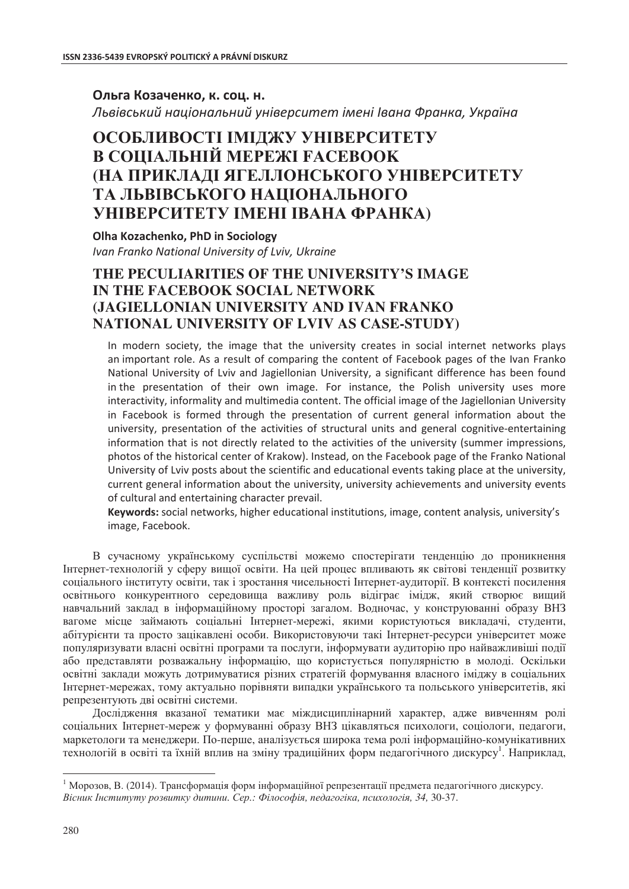## Ольга Козаченко, к. соц. н.

Львівський національний університет імені Івана Франка, Україна

# **ОСОБЛИВОСТІ ІМІДЖУ УНІВЕРСИТЕТУ ȼ ɋɈɐȱȺɅɖɇȱɃ ɆȿɊȿɀȱ FȺCEBOOK (НА ПРИКЛАДІ ЯГЕЛЛОНСЬКОГО УНІВЕРСИТЕТУ ТА ЛЬВІВСЬКОГО НАШОНАЛЬНОГО ɍɇȱȼȿɊɋɂɌȿɌɍ ȱɆȿɇȱ ȱȼȺɇȺ ɎɊȺɇɄȺ)**

**Olha Kozachenko, PhD in Sociology** *Ivan Franko National University of Lviv, Ukraine* 

# **THE PECULIARITIES OF THE UNIVERSITY'S IMAGE IN THE FACEBOOK SOCIAL NETWORK (JAGIELLONIAN UNIVERSITY AND IVAN FRANKO NATIONAL UNIVERSITY OF LVIV AS CASE-STUDY)**

In modern society, the image that the university creates in social internet networks plays an important role. As a result of comparing the content of Facebook pages of the Ivan Franko National University of Lviv and Jagiellonian University, a significant difference has been found in the presentation of their own image. For instance, the Polish university uses more interactivity, informality and multimedia content. The official image of the Jagiellonian University in Facebook is formed through the presentation of current general information about the university, presentation of the activities of structural units and general cognitive-entertaining information that is not directly related to the activities of the university (summer impressions, photos of the historical center of Krakow). Instead, on the Facebook page of the Franko National University of Lviv posts about the scientific and educational events taking place at the university, current general information about the university, university achievements and university events of cultural and entertaining character prevail.

Keywords: social networks, higher educational institutions, image, content analysis, university's image, Facebook.

В сучасному українському суспільстві можемо спостерігати тенденцію до проникнення Итернет-технологій у сферу вищої освіти. На цей процес впливають як світові тенденції розвитку соціального інституту освіти, так і зростання чисельності Інтернет-аудиторії. В контексті посилення освітнього конкурентного середовища важливу роль відіграє імідж, який створює вищий навчальний заклад в інформаційному просторі загалом. Водночас, у конструюванні образу ВНЗ вагоме місце займають соціальні Інтернет-мережі, якими користуються викладачі, студенти, абітурієнти та просто зацікавлені особи. Використовуючи такі Інтернет-ресурси університет може популяризувати власні освітні програми та послуги, інформувати аудиторію про найважливіші події або представляти розважальну інформацію, що користується популярністю в молоді. Оскільки освітні заклади можуть дотримуватися різних стратегій формування власного іміджу в соціальних Итернет-мережах, тому актуально порівняти випадки українського та польського університетів, які репрезентують дві освітні системи.

Дослідження вказаної тематики має міждисциплінарний характер, адже вивченням ролі соціальних Інтернет-мереж у формуванні образу ВНЗ цікавляться психологи, соціологи, пелагоги, маркетологи та менеджери. По-перше, аналізується широка тема ролі інформаційно-комунікативних технологій в освіті та їхній вплив на зміну традиційних форм педагогічного дискурсу<sup>1</sup>. Наприклад,

 $\overline{a}$ 

 $^{-1}$  Морозов, В. (2014). Трансформація форм інформаційної репрезентації предмета педагогічного дискурсу. *ȼɿɫɧɢɤ ȱɧɫɬɢɬɭɬɭ ɪɨɡɜɢɬɤɭ ɞɢɬɢɧɢ. ɋɟɪ.: Ɏɿɥɨɫɨɮɿɹ, ɩɟɞɚɝɨɝɿɤɚ, ɩɫɢɯɨɥɨɝɿɹ, 34,* 30-37.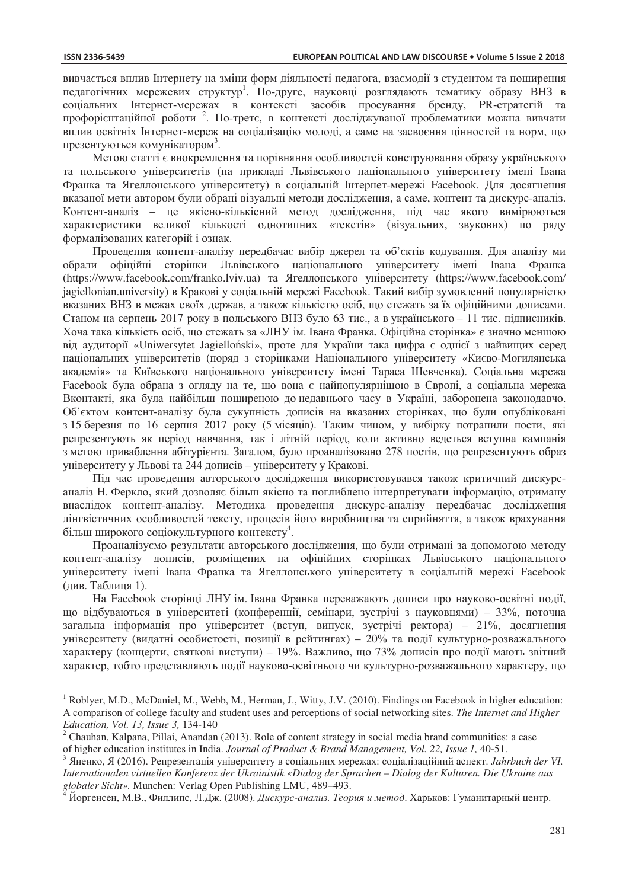$\overline{a}$ 

вивчається вплив Інтернету на зміни форм діяльності педагога, взаємодії з студентом та поширення педагогічних мережевих структур<sup>1</sup>. По-друге, науковці розглядають тематику образу ВНЗ в соціальних Інтернет-мережах в контексті засобів просування бренду, PR-стратегій та профорієнтаційної роботи<sup>2</sup>. По-третє, в контексті досліджуваної проблематики можна вивчати вплив освітніх Інтернет-мереж на соціалізацію молоді, а саме на засвоєння цінностей та норм, що презентуються комунікатором<sup>3</sup>.

Метою статті є виокремлення та порівняння особливостей конструювання образу українського та польського університетів (на приклалі Львівського напіонального університету імені Івана Франка та Ягеллонського університету) в соціальній Інтернет-мережі Facebook. Для досягнення вказаної мети автором були обрані візуальні методи дослідження, а саме, контент та дискурс-аналіз. Контент-аналіз – це якісно-кількісний метод дослідження, під час якого вимірюються характеристики великої кількості однотипних «текстів» (візуальних, звукових) по ряду формалізованих категорій і ознак.

Провелення контент-аналізу перелбачає вибір лжерел та об'єктів колування. Для аналізу ми обрали офіційні сторінки Львівського національного університету імені Івана Франка (https://www.facebook.com/franko.lviv.ua) та Ягеллонського університету (https://www.facebook.com/ jagiellonian.university) в Кракові у соціальній мережі Facebook. Такий вибір зумовлений популярністю вказаних ВНЗ в межах своїх держав, а також кількістю осіб, що стежать за їх офіційними дописами. Станом на серпень 2017 року в польського ВНЗ було 63 тис., а в українського – 11 тис. підписників. Хоча така кількість осіб, що стежать за «ЛНУ ім. Івана Франка. Офіційна сторінка» є значно меншою від аудиторії «Uniwersytet Jagielloński», проте для України така цифра є однієї з найвищих серед національних університетів (поряд з сторінками Національного університету «Києво-Могилянська академія» та Київського національного університету імені Тараса Шевченка). Соціальна мережа Facebook була обрана з огляду на те, що вона є найпопулярнішою в Європі, а соціальна мережа Вконтакті, яка була найбільш поширеною до недавнього часу в Україні, заборонена законодавчо. Об'єктом контент-аналізу була сукупність дописів на вказаних сторінках, що були опубліковані з 15 березня по 16 серпня 2017 року (5 місяців). Таким чином, у вибірку потрапили пости, які репрезентують як період навчання, так і літній період, коли активно ведеться вступна кампанія з метою приваблення абітурієнта. Загалом, було проаналізовано 278 постів, що репрезентують образ үніверситету у Львові та 244 дописів – університету у Кракові.

Під час проведення авторського дослідження використовувався також критичний дискурсаналіз Н. Феркло, який дозволяє більш якісно та поглиблено інтерпретувати інформацію, отриману внаслідок контент-аналізу. Методика проведення дискурс-аналізу передбачає дослідження лінгвістичних особливостей тексту, процесів його виробництва та сприйняття, а також врахування більш широкого соціокультурного контексту<sup>4</sup>.

Проаналізуємо результати авторського дослідження, що були отримані за допомогою методу контент-аналізу дописів, розміщених на офіційних сторінках Львівського національного університету імені Івана Франка та Ягеллонського університету в соціальній мережі Facebook (див. Таблиця 1).

На Facebook сторінці ЛНУ ім. Івана Франка переважають дописи про науково-освітні події, що відбуваються в університеті (конференції, семінари, зустрічі з науковцями) – 33%, поточна загальна інформація про університет (вступ, випуск, зустрічі ректора) – 21%, досягнення університету (видатні особистості, позиції в рейтингах) – 20% та події культурно-розважального характеру (концерти, святкові виступи) – 19%. Важливо, що 73% дописів про події мають звітний характер, тобто представляють події науково-освітнього чи культурно-розважального характеру, що

<sup>&</sup>lt;sup>1</sup> Roblyer, M.D., McDaniel, M., Webb, M., Herman, J., Witty, J.V. (2010). Findings on Facebook in higher education: A comparison of college faculty and student uses and perceptions of social networking sites. *The Internet and Higher Education, Vol. 13, Issue 3,* 134-140 2

 $2$  Chauhan, Kalpana, Pillai, Anandan (2013). Role of content strategy in social media brand communities: a case

of higher education institutes in India. Journal of Product & Brand Management, Vol. 22, Issue 1, 40-51.<br><sup>3</sup> Яненко, Я (2016). Репрезентація університету в соціальних мережах: соціалізаційний аспект. Jahrbuch der VI. *Internationalen virtuellen Konferenz der Ukrainistik «Dialog der Sprachen – Dialog der Kulturen. Die Ukraine aus* 

Йоргенсен, М.В., Филлипс, Л.Дж. (2008). *Дискурс-анализ. Теория и метод*. Харьков: Гуманитарный центр.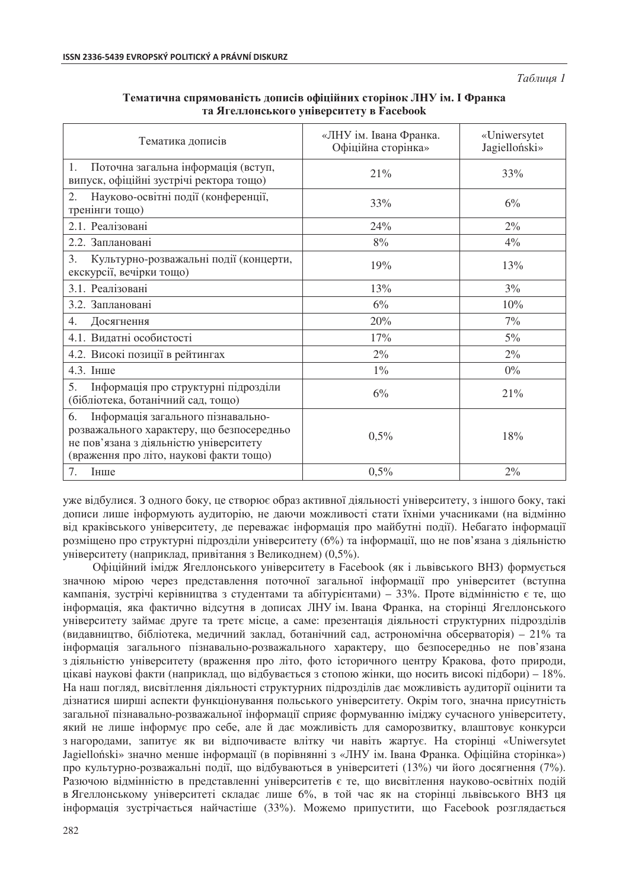*Ɍɚɛɥɢɰɹ 1* 

| Тематика дописів                                                                                                                                                           | «ЛНУ ім. Івана Франка.<br>Офіційна сторінка» | «Uniwersytet<br>Jagielloński» |
|----------------------------------------------------------------------------------------------------------------------------------------------------------------------------|----------------------------------------------|-------------------------------|
| Поточна загальна інформація (вступ,<br>$1_{\cdot}$<br>випуск, офіційні зустрічі ректора тощо)                                                                              | 21%                                          | 33%                           |
| Науково-освітні події (конференції,<br>2.<br>тренінги тощо)                                                                                                                | 33%                                          | 6%                            |
| 2.1. Реалізовані                                                                                                                                                           | 24%                                          | $2\%$                         |
| 2.2. Заплановані                                                                                                                                                           | $8\%$                                        | 4%                            |
| Культурно-розважальні події (концерти,<br>3.<br>екскурсії, вечірки тощо)                                                                                                   | 19%                                          | 13%                           |
| 3.1. Реалізовані                                                                                                                                                           | 13%                                          | 3%                            |
| 3.2. Заплановані                                                                                                                                                           | 6%                                           | 10%                           |
| 4.<br>Досягнення                                                                                                                                                           | 20%                                          | 7%                            |
| 4.1. Видатні особистості                                                                                                                                                   | 17%                                          | $5\%$                         |
| 4.2. Високі позиції в рейтингах                                                                                                                                            | $2\%$                                        | $2\%$                         |
| 4.3. Інше                                                                                                                                                                  | $1\%$                                        | $0\%$                         |
| Інформація про структурні підрозділи<br>5.<br>(бібліотека, ботанічний сад, тощо)                                                                                           | 6%                                           | 21%                           |
| Інформація загального пізнавально-<br>6.<br>розважального характеру, що безпосередньо<br>не пов'язана з діяльністю університету<br>(враження про літо, наукові факти тощо) | 0,5%                                         | 18%                           |
| 7.<br>Інше                                                                                                                                                                 | 0,5%                                         | $2\%$                         |

### Тематична спрямованість лописів офіційних сторінок ЛНУ ім. І Франка **ɬɚ əɝɟɥɥɨɧɫɶɤɨɝɨ ɭɧɿɜɟɪɫɢɬɟɬɭ ɜ Facebook**

уже відбулися. З одного боку, це створює образ активної діяльності університету, з іншого боку, такі дописи лише інформують аудиторію, не даючи можливості стати їхніми учасниками (на відмінно від краківського університету, де переважає інформація про майбутні події). Небагато інформації розміщено про структурні підрозділи університету (6%) та інформації, що не пов'язана з діяльністю үніверситету (наприклад, привітання з Великоднем) (0,5%).

Офіційний імідж Ягеллонського університету в Facebook (як і львівського ВНЗ) формується значною мірою через представлення поточної загальної інформації про університет (вступна кампанія, зустрічі керівництва з студентами та абітурієнтами) – 33%. Проте відмінністю є те, що нформація, яка фактично відсутня в дописах ЛНУ ім. Івана Франка, на сторінці Ягеллонського үніверситету займає друге та третє місце, а саме: презентація діяльності структурних підрозділів (видавництво, бібліотека, медичний заклад, ботанічний сад, астрономічна обсерваторія) – 21% та інформація загального пізнавально-розважального характеру, що безпосередньо не пов'язана з діяльністю університету (враження про літо, фото історичного центру Кракова, фото природи, цікаві наукові факти (наприклад, що відбувається з стопою жінки, що носить високі підбори) – 18%. На наш погляд, висвітлення діяльності структурних підрозділів дає можливість аудиторії оцінити та дізнатися ширші аспекти функціонування польського університету. Окрім того, значна присутність загальної пізнавально-розважальної інформації сприяє формуванню іміджу сучасного університету, який не лише інформує про себе, але й дає можливість для саморозвитку, влаштовує конкурси з нагородами, запитує як ви відпочиваєте влітку чи навіть жартує. На сторінці «Uniwersytet Jagielloński» значно менше інформації (в порівнянні з «ЛНУ ім. Івана Франка. Офіційна сторінка») про культурно-розважальні події, що відбуваються в університеті (13%) чи його досягнення (7%). Разючою відмінністю в представленні університетів є те, що висвітлення науково-освітніх подій в Ягеллонському університеті складає лише 6%, в той час як на сторінці львівського ВНЗ ця інформація зустрічається найчастіше (33%). Можемо припустити, що Facebook розглядається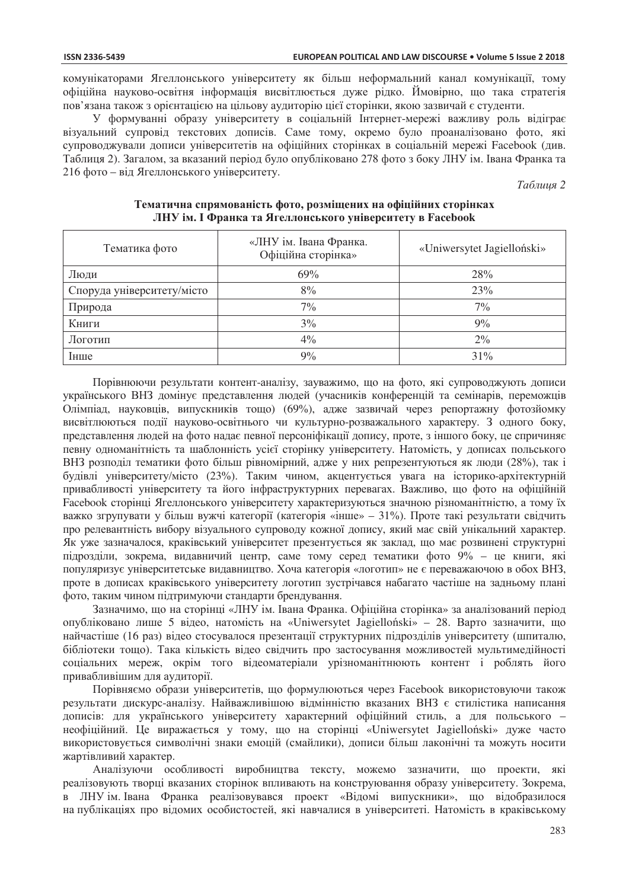комунікаторами Ягеллонського університету як більш неформальний канал комунікації, тому офіційна науково-освітня інформація висвітлюється дуже рідко. Ймовірно, що така стратегія пов'язана також з орієнтацією на цільову аудиторію цієї сторінки, якою зазвичай є студенти.

У формуванні образу університету в соціальній Інтернет-мережі важливу роль відіграє візуальний супровід текстових дописів. Саме тому, окремо було проаналізовано фото, які супроводжували дописи університетів на офіційних сторінках в соціальній мережі Facebook (див. Таблиця 2). Загалом, за вказаний період було опубліковано 278 фото з боку ЛНУ ім. Івана Франка та 216 фото – від Ягеллонського університету.

*Ɍɚɛɥɢɰɹ 2* 

| Тематика фото              | «ЛНУ ім. Івана Франка.<br>Офіційна сторінка» | «Uniwersytet Jagielloński» |
|----------------------------|----------------------------------------------|----------------------------|
| Люди                       | 69%                                          | 28%                        |
| Споруда університету/місто | 8%                                           | 23%                        |
| Природа                    | 7%                                           | 7%                         |
| Книги                      | 3%                                           | 9%                         |
| Логотип                    | $4\%$                                        | $2\%$                      |
| Інше                       | 9%                                           | 31%                        |

#### **Tематична спрямованість фото, розміщених на офіційних сторінках Ʌɇɍ ɿɦ. ȱ Ɏɪɚɧɤɚ ɬɚ əɝɟɥɥɨɧɫɶɤɨɝɨ ɭɧɿɜɟɪɫɢɬɟɬɭ ɜ Facebook**

Порівнюючи результати контент-аналізу, зауважимо, що на фото, які супроводжують дописи українського ВНЗ домінує представлення людей (учасників конференцій та семінарів, переможців Олімпіад, науковців, випускників тощо) (69%), адже зазвичай через репортажну фотозйомку висвітлюються події науково-освітнього чи культурно-розважального характеру. З одного боку, представлення людей на фото надає певної персоніфікації допису, проте, з іншого боку, це спричиняє певну одноманітність та шаблонність усієї сторінку університету. Натомість, у дописах польського ВНЗ розподіл тематики фото більш рівномірний, адже у них репрезентуються як люди (28%), так і будівлі університету/місто (23%). Таким чином, акцентується увага на історико-архітектурній привабливості університету та його інфраструктурних перевагах. Важливо, що фото на офіційній Facebook сторінці Ягеллонського університету характеризуються значною різноманітністю, а тому їх важко згрупувати у більш вужчі категорії (категорія «інше» – 31%). Проте такі результати свідчить про релевантність вибору візуального супроводу кожної допису, який має свій унікальний характер. Як уже зазначалося, краківський університет презентується як заклад, що має розвинені структурні підрозділи, зокрема, видавничий центр, саме тому серед тематики фото 9% – це книги, які популяризує університетське видавництво. Хоча категорія «логотип» не є переважаючою в обох ВНЗ, проте в дописах краківського університету логотип зустрічався набагато частіше на задньому плані фото, таким чином пілтримуючи станларти бренлування.

Зазначимо, що на сторінці «ЛНУ ім. Івана Франка. Офіційна сторінка» за аналізований період опубліковано лише 5 відео, натомість на «Uniwersytet Jagielloński» – 28. Варто зазначити, що найчастіше (16 раз) відео стосувалося презентації структурних підрозділів університету (шпиталю, бібліотеки тощо). Така кількість відео свідчить про застосування можливостей мультимедійності соціальних мереж, окрім того відеоматеріали урізноманітнюють контент і роблять його привабливішим для аудиторії.

Порівняємо образи університетів, що формулюються через Facebook використовуючи також результати дискурс-аналізу. Найважливішою відмінністю вказаних ВНЗ є стилістика написання дописів: для українського університету характерний офіційний стиль, а для польського неофіційний. Це виражається у тому, що на сторінці «Uniwersytet Jagielloński» дуже часто використовується символічні знаки емоцій (смайлики), дописи більш лаконічні та можуть носити жартівливий характер.

Аналізуючи особливості виробництва тексту, можемо зазначити, що проекти, які реалізовують творці вказаних сторінок впливають на конструювання образу університету. Зокрема, в ЛНУ ім. Івана Франка реалізовувався проект «Відомі випускники», що відобразилося на публікаціях про відомих особистостей, які навчалися в університеті. Натомість в краківському